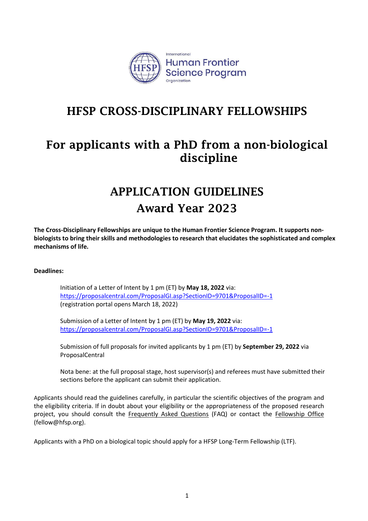

## HFSP CROSS-DISCIPLINARY FELLOWSHIPS

# For applicants with a PhD from a non-biological discipline

# APPLICATION GUIDELINES Award Year 2023

**The Cross-Disciplinary Fellowships are unique to the Human Frontier Science Program. It supports nonbiologists to bring their skills and methodologies to research that elucidates the sophisticated and complex mechanisms of life.**

## **Deadlines:**

Initiation of a Letter of Intent by 1 pm (ET) by **May 18, 2022** via: <https://proposalcentral.com/ProposalGI.asp?SectionID=9701&ProposalID=-1> (registration portal opens March 18, 2022)

Submission of a Letter of Intent by 1 pm (ET) by **May 19, 2022** via: <https://proposalcentral.com/ProposalGI.asp?SectionID=9701&ProposalID=-1>

Submission of full proposals for invited applicants by 1 pm (ET) by **September 29, 2022** via ProposalCentral

Nota bene: at the full proposal stage, host supervisor(s) and referees must have submitted their sections before the applicant can submit their application.

Applicants should read the guidelines carefully, in particular the scientific objectives of the program and the eligibility criteria. If in doubt about your eligibility or the appropriateness of the proposed research project, you should consult the [Frequently Asked Questions](http://www.hfsp.org/funding/hfsp-funding/postdoctoral-fellowships) (FAQ) or contact the Fellowship Office (fellow@hfsp.org).

Applicants with a PhD on a biological topic should apply for a HFSP Long-Term Fellowship (LTF).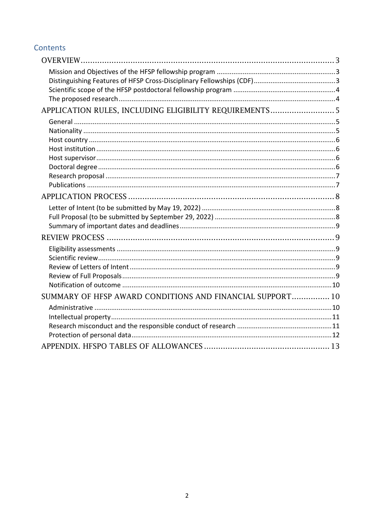## Contents

| APPLICATION RULES, INCLUDING ELIGIBILITY REQUIREMENTS 5   |  |
|-----------------------------------------------------------|--|
|                                                           |  |
|                                                           |  |
|                                                           |  |
|                                                           |  |
|                                                           |  |
|                                                           |  |
|                                                           |  |
|                                                           |  |
|                                                           |  |
|                                                           |  |
|                                                           |  |
|                                                           |  |
|                                                           |  |
|                                                           |  |
|                                                           |  |
|                                                           |  |
|                                                           |  |
|                                                           |  |
| SUMMARY OF HFSP AWARD CONDITIONS AND FINANCIAL SUPPORT 10 |  |
|                                                           |  |
|                                                           |  |
|                                                           |  |
|                                                           |  |
|                                                           |  |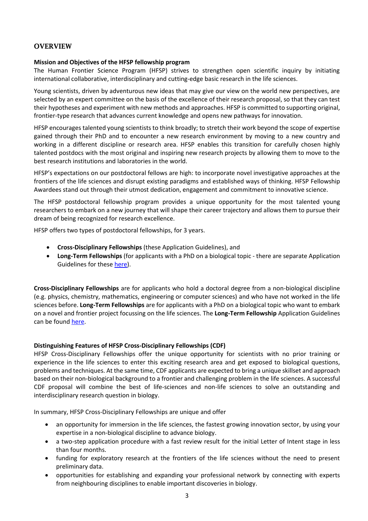## <span id="page-2-0"></span>**OVERVIEW**

## <span id="page-2-1"></span>**Mission and Objectives of the HFSP fellowship program**

The Human Frontier Science Program (HFSP) strives to strengthen open scientific inquiry by initiating international collaborative, interdisciplinary and cutting-edge basic research in the life sciences.

Young scientists, driven by adventurous new ideas that may give our view on the world new perspectives, are selected by an expert committee on the basis of the excellence of their research proposal, so that they can test their hypotheses and experiment with new methods and approaches. HFSP is committed to supporting original, frontier-type research that advances current knowledge and opens new pathways for innovation.

HFSP encourages talented young scientists to think broadly; to stretch their work beyond the scope of expertise gained through their PhD and to encounter a new research environment by moving to a new country and working in a different discipline or research area. HFSP enables this transition for carefully chosen highly talented postdocs with the most original and inspiring new research projects by allowing them to move to the best research institutions and laboratories in the world.

HFSP's expectations on our postdoctoral fellows are high: to incorporate novel investigative approaches at the frontiers of the life sciences and disrupt existing paradigms and established ways of thinking. HFSP Fellowship Awardees stand out through their utmost dedication, engagement and commitment to innovative science.

The HFSP postdoctoral fellowship program provides a unique opportunity for the most talented young researchers to embark on a new journey that will shape their career trajectory and allows them to pursue their dream of being recognized for research excellence.

HFSP offers two types of postdoctoral fellowships, for 3 years.

- **Cross-Disciplinary Fellowships** (these Application Guidelines), and
- **Long-Term Fellowships** (for applicants with a PhD on a biological topic there are separate Application Guidelines for these [here\)](https://www.hfsp.org/funding/hfsp-funding/postdoctoral-fellowships).

**Cross-Disciplinary Fellowships** are for applicants who hold a doctoral degree from a non-biological discipline (e.g. physics, chemistry, mathematics, engineering or computer sciences) and who have not worked in the life sciences before. **Long-Term Fellowships** are for applicants with a PhD on a biological topic who want to embark on a novel and frontier project focussing on the life sciences. The **Long-Term Fellowship** Application Guidelines can be found [here.](https://www.hfsp.org/funding/hfsp-funding/postdoctoral-fellowships)

## <span id="page-2-2"></span>**Distinguishing Features of HFSP Cross-Disciplinary Fellowships (CDF)**

HFSP Cross-Disciplinary Fellowships offer the unique opportunity for scientists with no prior training or experience in the life sciences to enter this exciting research area and get exposed to biological questions, problems and techniques. At the same time, CDF applicants are expected to bring a unique skillset and approach based on their non-biological background to a frontier and challenging problem in the life sciences. A successful CDF proposal will combine the best of life-sciences and non-life sciences to solve an outstanding and interdisciplinary research question in biology.

In summary, HFSP Cross-Disciplinary Fellowships are unique and offer

- an opportunity for immersion in the life sciences, the fastest growing innovation sector, by using your expertise in a non-biological discipline to advance biology.
- a two-step application procedure with a fast review result for the initial Letter of Intent stage in less than four months.
- funding for exploratory research at the frontiers of the life sciences without the need to present preliminary data.
- opportunities for establishing and expanding your professional network by connecting with experts from neighbouring disciplines to enable important discoveries in biology.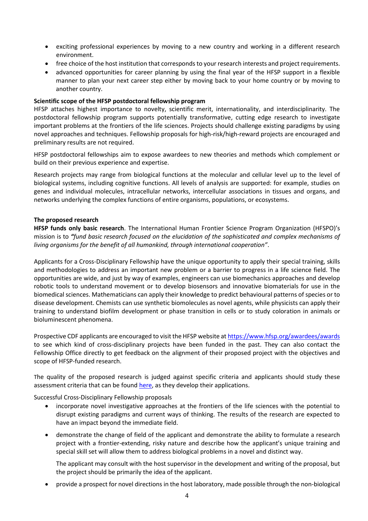- exciting professional experiences by moving to a new country and working in a different research environment.
- free choice of the host institution that corresponds to your research interests and project requirements.
- advanced opportunities for career planning by using the final year of the HFSP support in a flexible manner to plan your next career step either by moving back to your home country or by moving to another country.

#### <span id="page-3-0"></span>**Scientific scope of the HFSP postdoctoral fellowship program**

HFSP attaches highest importance to novelty, scientific merit, internationality, and interdisciplinarity. The postdoctoral fellowship program supports potentially transformative, cutting edge research to investigate important problems at the frontiers of the life sciences. Projects should challenge existing paradigms by using novel approaches and techniques. Fellowship proposals for high-risk/high-reward projects are encouraged and preliminary results are not required.

HFSP postdoctoral fellowships aim to expose awardees to new theories and methods which complement or build on their previous experience and expertise.

Research projects may range from biological functions at the molecular and cellular level up to the level of biological systems, including cognitive functions. All levels of analysis are supported: for example, studies on genes and individual molecules, intracellular networks, intercellular associations in tissues and organs, and networks underlying the complex functions of entire organisms, populations, or ecosystems.

#### <span id="page-3-1"></span>**The proposed research**

**HFSP funds only basic research**. The International Human Frontier Science Program Organization (HFSPO)'s mission is to *"fund basic research focused on the elucidation of the sophisticated and complex mechanisms of living organisms for the benefit of all humankind, through international cooperation"*.

Applicants for a Cross-Disciplinary Fellowship have the unique opportunity to apply their special training, skills and methodologies to address an important new problem or a barrier to progress in a life science field. The opportunities are wide, and just by way of examples, engineers can use biomechanics approaches and develop robotic tools to understand movement or to develop biosensors and innovative biomaterials for use in the biomedical sciences. Mathematicians can apply their knowledge to predict behavioural patterns of species or to disease development. Chemists can use synthetic biomolecules as novel agents, while physicists can apply their training to understand biofilm development or phase transition in cells or to study coloration in animals or bioluminescent phenomena.

Prospective CDF applicants are encouraged to visit the HFSP website a[t https://www.hfsp.org/awardees/awards](https://www.hfsp.org/awardees/awards) to see which kind of cross-disciplinary projects have been funded in the past. They can also contact the Fellowship Office directly to get feedback on the alignment of their proposed project with the objectives and scope of HFSP-funded research.

The quality of the proposed research is judged against specific criteria and applicants should study these assessment criteria that can be found [here,](https://www.hfsp.org/sites/default/files/Sciences/fellows/2023%20HFSP%20Fellowships%20Information%20on%20review%20process%20and%20assessment%20criteria.pdf) as they develop their applications.

Successful Cross-Disciplinary Fellowship proposals

- incorporate novel investigative approaches at the frontiers of the life sciences with the potential to disrupt existing paradigms and current ways of thinking. The results of the research are expected to have an impact beyond the immediate field.
- demonstrate the change of field of the applicant and demonstrate the ability to formulate a research project with a frontier-extending, risky nature and describe how the applicant's unique training and special skill set will allow them to address biological problems in a novel and distinct way.

The applicant may consult with the host supervisor in the development and writing of the proposal, but the project should be primarily the idea of the applicant.

• provide a prospect for novel directions in the host laboratory, made possible through the non-biological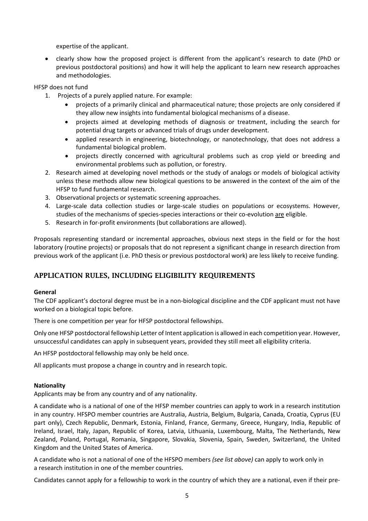expertise of the applicant.

• clearly show how the proposed project is different from the applicant's research to date (PhD or previous postdoctoral positions) and how it will help the applicant to learn new research approaches and methodologies.

HFSP does not fund

- 1. Projects of a purely applied nature. For example:
	- projects of a primarily clinical and pharmaceutical nature; those projects are only considered if they allow new insights into fundamental biological mechanisms of a disease.
	- projects aimed at developing methods of diagnosis or treatment, including the search for potential drug targets or advanced trials of drugs under development.
	- applied research in engineering, biotechnology, or nanotechnology, that does not address a fundamental biological problem.
	- projects directly concerned with agricultural problems such as crop yield or breeding and environmental problems such as pollution, or forestry.
	- 2. Research aimed at developing novel methods or the study of analogs or models of biological activity unless these methods allow new biological questions to be answered in the context of the aim of the HFSP to fund fundamental research.
	- 3. Observational projects or systematic screening approaches.
	- 4. Large-scale data collection studies or large-scale studies on populations or ecosystems. However, studies of the mechanisms of species-species interactions or their co-evolution are eligible.
	- 5. Research in for-profit environments (but collaborations are allowed).

Proposals representing standard or incremental approaches, obvious next steps in the field or for the host laboratory (routine projects) or proposals that do not represent a significant change in research direction from previous work of the applicant (i.e. PhD thesis or previous postdoctoral work) are less likely to receive funding.

## <span id="page-4-0"></span>APPLICATION RULES, INCLUDING ELIGIBILITY REQUIREMENTS

## <span id="page-4-1"></span>**General**

The CDF applicant's doctoral degree must be in a non-biological discipline and the CDF applicant must not have worked on a biological topic before.

There is one competition per year for HFSP postdoctoral fellowships.

Only one HFSP postdoctoral fellowship Letter of Intent application is allowed in each competition year. However, unsuccessful candidates can apply in subsequent years, provided they still meet all eligibility criteria.

An HFSP postdoctoral fellowship may only be held once.

All applicants must propose a change in country and in research topic.

## <span id="page-4-2"></span>**Nationality**

Applicants may be from any country and of any nationality.

A candidate who is a national of one of the HFSP member countries can apply to work in a research institution in any country. HFSPO member countries are Australia, Austria, Belgium, Bulgaria, Canada, Croatia, Cyprus (EU part only), Czech Republic, Denmark, Estonia, Finland, France, Germany, Greece, Hungary, India, Republic of Ireland, Israel, Italy, Japan, Republic of Korea, Latvia, Lithuania, Luxembourg, Malta, The Netherlands, New Zealand, Poland, Portugal, Romania, Singapore, Slovakia, Slovenia, Spain, Sweden, Switzerland, the United Kingdom and the United States of America.

A candidate who is not a national of one of the HFSPO members *(see list above)* can apply to work only in a research institution in one of the member countries.

Candidates cannot apply for a fellowship to work in the country of which they are a national, even if their pre-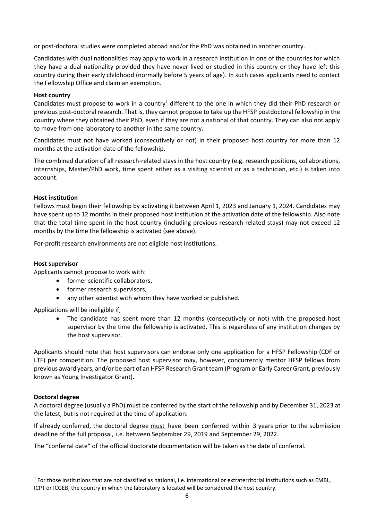or post-doctoral studies were completed abroad and/or the PhD was obtained in another country.

Candidates with dual nationalities may apply to work in a research institution in one of the countries for which they have a dual nationality provided they have never lived or studied in this country or they have left this country during their early childhood (normally before 5 years of age). In such cases applicants need to contact the Fellowship Office and claim an exemption.

## <span id="page-5-0"></span>**Host country**

Candidates must propose to work in a country<sup>1</sup> different to the one in which they did their PhD research or previous post-doctoral research. That is, they cannot propose to take up the HFSP postdoctoral fellowship in the country where they obtained their PhD, even if they are not a national of that country. They can also not apply to move from one laboratory to another in the same country.

Candidates must not have worked (consecutively or not) in their proposed host country for more than 12 months at the activation date of the fellowship.

The combined duration of all research-related stays in the host country (e.g. research positions, collaborations, internships, Master/PhD work, time spent either as a visiting scientist or as a technician, etc.) is taken into account.

## <span id="page-5-1"></span>**Host institution**

Fellows must begin their fellowship by activating it between April 1, 2023 and January 1, 2024. Candidates may have spent up to 12 months in their proposed host institution at the activation date of the fellowship. Also note that the total time spent in the host country (including previous research-related stays) may not exceed 12 months by the time the fellowship is activated (see above).

For-profit research environments are not eligible host institutions.

## <span id="page-5-2"></span>**Host supervisor**

Applicants cannot propose to work with:

- former scientific collaborators,
- former research supervisors,
- any other scientist with whom they have worked or published.

Applications will be ineligible if,

The candidate has spent more than 12 months (consecutively or not) with the proposed host supervisor by the time the fellowship is activated. This is regardless of any institution changes by the host supervisor.

Applicants should note that host supervisors can endorse only one application for a HFSP Fellowship (CDF or LTF) per competition. The proposed host supervisor may, however, concurrently mentor HFSP fellows from previous award years, and/or be part of an HFSP Research Grant team (Program or Early Career Grant, previously known as Young Investigator Grant).

## <span id="page-5-3"></span>**Doctoral degree**

A doctoral degree (usually a PhD) must be conferred by the start of the fellowship and by December 31, 2023 at the latest, but is not required at the time of application.

If already conferred, the doctoral degree must have been conferred within 3 years prior to the submission deadline of the full proposal, i.e. between September 29, 2019 and September 29, 2022.

The "conferral date" of the official doctorate documentation will be taken as the date of conferral.

 $^1$  For those institutions that are not classified as national, i.e. international or extraterritorial institutions such as EMBL, ICPT or ICGEB, the country in which the laboratory is located will be considered the host country.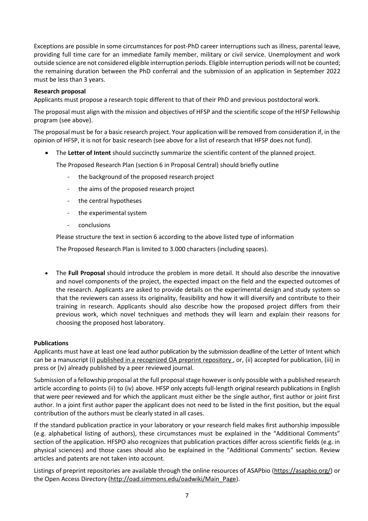Exceptions are possible in some circumstances for post-PhD career interruptions such as illness, parental leave, providing full time care for an immediate family member, military or civil service. Unemployment and work outside science are not considered eligible interruption periods. Eligible interruption periods will not be counted; the remaining duration between the PhD conferral and the submission of an application in September 2022 must be less than 3 years.

## <span id="page-6-0"></span>**Research proposal**

Applicants must propose a research topic different to that of their PhD and previous postdoctoral work.

The proposal must align with the mission and objectives of HFSP and the scientific scope of the HFSP Fellowship program (see above).

The proposal must be for a basic research project. Your application will be removed from consideration if, in the opinion of HFSP, it is not for basic research (see above for a list of research that HFSP does not fund).

• The **Letter of Intent** should succinctly summarize the scientific content of the planned project.

The Proposed Research Plan (section 6 in Proposal Central) should briefly outline

- the background of the proposed research project
- the aims of the proposed research project
- the central hypotheses
- the experimental system
- conclusions

Please structure the text in section 6 according to the above listed type of information

The Proposed Research Plan is limited to 3.000 characters (including spaces).

• The **Full Proposal** should introduce the problem in more detail. It should also describe the innovative and novel components of the project, the expected impact on the field and the expected outcomes of the research. Applicants are asked to provide details on the experimental design and study system so that the reviewers can assess its originality, feasibility and how it will diversify and contribute to their training in research. Applicants should also describe how the proposed project differs from their previous work, which novel techniques and methods they will learn and explain their reasons for choosing the proposed host laboratory.

## <span id="page-6-1"></span>**Publications**

Applicants must have at least one lead author publication by the submission deadline of the Letter of Intent which can be a manuscript (i) published in a recognized OA preprint repository, or, (ii) accepted for publication, (iii) in press or (iv) already published by a peer reviewed journal.

Submission of a fellowship proposal at the full proposal stage however is only possible with a published research article according to points (ii) to (iv) above. HFSP only accepts full-length original research publications in English that were peer reviewed and for which the applicant must either be the single author, first author or joint first author. In a joint first author paper the applicant does not need to be listed in the first position, but the equal contribution of the authors must be clearly stated in all cases.

If the standard publication practice in your laboratory or your research field makes first authorship impossible (e.g. alphabetical listing of authors), these circumstances must be explained in the "Additional Comments" section of the application. HFSPO also recognizes that publication practices differ across scientific fields (e.g. in physical sciences) and those cases should also be explained in the "Additional Comments" section. Review articles and patents are not taken into account.

Listings of preprint repositories are available through the online resources of ASAPbio [\(https://asapbio.org/\)](https://asapbio.org/) or the Open Access Directory [\(http://oad.simmons.edu/oadwiki/Main\\_Page\)](http://oad.simmons.edu/oadwiki/Main_Page).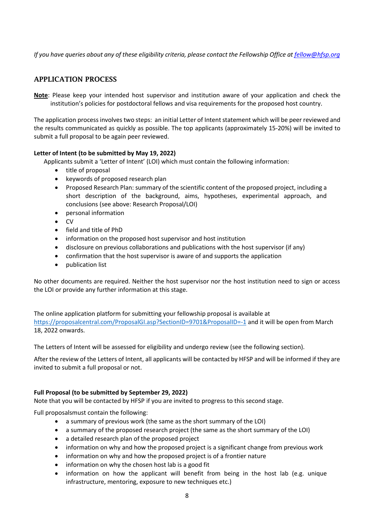*If you have queries about any of these eligibility criteria, please contact the Fellowship Office a[t fellow@hfsp.org](mailto:fellow@hfsp.org)*

## <span id="page-7-0"></span>APPLICATION PROCESS

**Note**: Please keep your intended host supervisor and institution aware of your application and check the institution's policies for postdoctoral fellows and visa requirements for the proposed host country.

The application process involves two steps: an initial Letter of Intent statement which will be peer reviewed and the results communicated as quickly as possible. The top applicants (approximately 15-20%) will be invited to submit a full proposal to be again peer reviewed.

## <span id="page-7-1"></span>**Letter of Intent (to be submitted by May 19, 2022)**

Applicants submit a 'Letter of Intent' (LOI) which must contain the following information:

- title of proposal
- keywords of proposed research plan
- Proposed Research Plan: summary of the scientific content of the proposed project, including a short description of the background, aims, hypotheses, experimental approach, and conclusions (see above: Research Proposal/LOI)
- personal information
- CV
- field and title of PhD
- information on the proposed host supervisor and host institution
- disclosure on previous collaborations and publications with the host supervisor (if any)
- confirmation that the host supervisor is aware of and supports the application
- publication list

No other documents are required. Neither the host supervisor nor the host institution need to sign or access the LOI or provide any further information at this stage.

The online application platform for submitting your fellowship proposal is available at <https://proposalcentral.com/ProposalGI.asp?SectionID=9701&ProposalID=-1> and it will be open from March 18, 2022 onwards.

The Letters of Intent will be assessed for eligibility and undergo review (see the following section).

After the review of the Letters of Intent, all applicants will be contacted by HFSP and will be informed if they are invited to submit a full proposal or not.

## <span id="page-7-2"></span>**Full Proposal (to be submitted by September 29, 2022)**

Note that you will be contacted by HFSP if you are invited to progress to this second stage.

Full proposalsmust contain the following:

- a summary of previous work (the same as the short summary of the LOI)
- a summary of the proposed research project (the same as the short summary of the LOI)
- a detailed research plan of the proposed project
- information on why and how the proposed project is a significant change from previous work
- information on why and how the proposed project is of a frontier nature
- information on why the chosen host lab is a good fit
- information on how the applicant will benefit from being in the host lab (e.g. unique infrastructure, mentoring, exposure to new techniques etc.)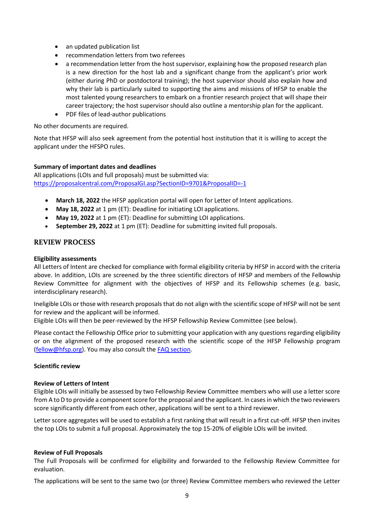- an updated publication list
- recommendation letters from two referees
- a recommendation letter from the host supervisor, explaining how the proposed research plan is a new direction for the host lab and a significant change from the applicant's prior work (either during PhD or postdoctoral training); the host supervisor should also explain how and why their lab is particularly suited to supporting the aims and missions of HFSP to enable the most talented young researchers to embark on a frontier research project that will shape their career trajectory; the host supervisor should also outline a mentorship plan for the applicant.
- PDF files of lead-author publications

No other documents are required.

Note that HFSP will also seek agreement from the potential host institution that it is willing to accept the applicant under the HFSPO rules.

## <span id="page-8-0"></span>**Summary of important dates and deadlines**

All applications (LOIs and full proposals) must be submitted via: <https://proposalcentral.com/ProposalGI.asp?SectionID=9701&ProposalID=-1>

- **March 18, 2022** the HFSP application portal will open for Letter of Intent applications.
- **May 18, 2022** at 1 pm (ET): Deadline for initiating LOI applications.
- **May 19, 2022** at 1 pm (ET): Deadline for submitting LOI applications.
- **September 29, 2022** at 1 pm (ET): Deadline for submitting invited full proposals.

## <span id="page-8-1"></span>REVIEW PROCESS

#### <span id="page-8-2"></span>**Eligibility assessments**

All Letters of Intent are checked for compliance with formal eligibility criteria by HFSP in accord with the criteria above. In addition, LOIs are screened by the three scientific directors of HFSP and members of the Fellowship Review Committee for alignment with the objectives of HFSP and its Fellowship schemes (e.g. basic, interdisciplinary research).

Ineligible LOIs or those with research proposals that do not align with the scientific scope of HFSP will not be sent for review and the applicant will be informed.

Eligible LOIs will then be peer-reviewed by the HFSP Fellowship Review Committee (see below).

Please contact the Fellowship Office prior to submitting your application with any questions regarding eligibility or on the alignment of the proposed research with the scientific scope of the HFSP Fellowship program [\(fellow@hfsp.org\)](mailto:fellow@hfsp.org). You may also consult the [FAQ section.](https://www.hfsp.org/funding/hfsp-funding/postdoctoral-fellowships)

## <span id="page-8-3"></span>**Scientific review**

## <span id="page-8-4"></span>**Review of Letters of Intent**

Eligible LOIs will initially be assessed by two Fellowship Review Committee members who will use a letter score from A to D to provide a component score for the proposal and the applicant. In cases in which the two reviewers score significantly different from each other, applications will be sent to a third reviewer.

Letter score aggregates will be used to establish a first ranking that will result in a first cut-off. HFSP then invites the top LOIs to submit a full proposal. Approximately the top 15-20% of eligible LOIs will be invited.

#### <span id="page-8-5"></span>**Review of Full Proposals**

The Full Proposals will be confirmed for eligibility and forwarded to the Fellowship Review Committee for evaluation.

The applications will be sent to the same two (or three) Review Committee members who reviewed the Letter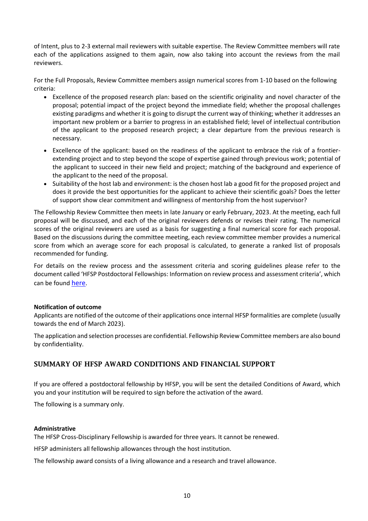of Intent, plus to 2-3 external mail reviewers with suitable expertise. The Review Committee members will rate each of the applications assigned to them again, now also taking into account the reviews from the mail reviewers.

For the Full Proposals, Review Committee members assign numerical scores from 1-10 based on the following criteria:

- Excellence of the proposed research plan: based on the scientific originality and novel character of the proposal; potential impact of the project beyond the immediate field; whether the proposal challenges existing paradigms and whether it is going to disrupt the current way of thinking; whether it addresses an important new problem or a barrier to progress in an established field; level of intellectual contribution of the applicant to the proposed research project; a clear departure from the previous research is necessary.
- Excellence of the applicant: based on the readiness of the applicant to embrace the risk of a frontierextending project and to step beyond the scope of expertise gained through previous work; potential of the applicant to succeed in their new field and project; matching of the background and experience of the applicant to the need of the proposal.
- Suitability of the host lab and environment: is the chosen host lab a good fit for the proposed project and does it provide the best opportunities for the applicant to achieve their scientific goals? Does the letter of support show clear commitment and willingness of mentorship from the host supervisor?

The Fellowship Review Committee then meets in late January or early February, 2023. At the meeting, each full proposal will be discussed, and each of the original reviewers defends or revises their rating. The numerical scores of the original reviewers are used as a basis for suggesting a final numerical score for each proposal. Based on the discussions during the committee meeting, each review committee member provides a numerical score from which an average score for each proposal is calculated, to generate a ranked list of proposals recommended for funding.

For details on the review process and the assessment criteria and scoring guidelines please refer to the document called 'HFSP Postdoctoral Fellowships: Information on review process and assessment criteria', which can be found [here](https://www.hfsp.org/sites/default/files/Sciences/fellows/2023%20HFSP%20Fellowships%20Information%20on%20review%20process%20and%20assessment%20criteria.pdf).

## <span id="page-9-0"></span>**Notification of outcome**

Applicants are notified of the outcome of their applications once internal HFSP formalities are complete (usually towards the end of March 2023).

The application and selection processes are confidential. Fellowship Review Committee members are also bound by confidentiality.

## <span id="page-9-1"></span>SUMMARY OF HFSP AWARD CONDITIONS AND FINANCIAL SUPPORT

If you are offered a postdoctoral fellowship by HFSP, you will be sent the detailed Conditions of Award, which you and your institution will be required to sign before the activation of the award.

The following is a summary only.

## <span id="page-9-2"></span>**Administrative**

The HFSP Cross-Disciplinary Fellowship is awarded for three years. It cannot be renewed.

HFSP administers all fellowship allowances through the host institution.

The fellowship award consists of a living allowance and a research and travel allowance.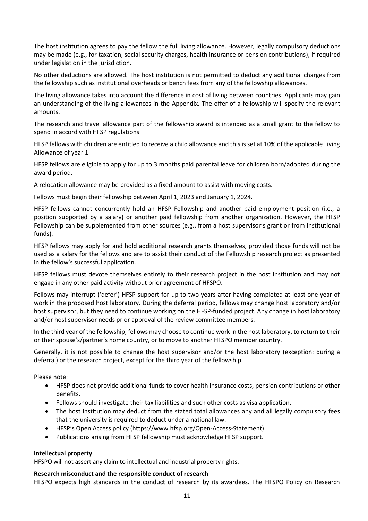The host institution agrees to pay the fellow the full living allowance. However, legally compulsory deductions may be made (e.g., for taxation, social security charges, health insurance or pension contributions), if required under legislation in the jurisdiction.

No other deductions are allowed. The host institution is not permitted to deduct any additional charges from the fellowship such as institutional overheads or bench fees from any of the fellowship allowances.

The living allowance takes into account the difference in cost of living between countries. Applicants may gain an understanding of the living allowances in the Appendix. The offer of a fellowship will specify the relevant amounts.

The research and travel allowance part of the fellowship award is intended as a small grant to the fellow to spend in accord with HFSP regulations.

HFSP fellows with children are entitled to receive a child allowance and this is set at 10% of the applicable Living Allowance of year 1.

HFSP fellows are eligible to apply for up to 3 months paid parental leave for children born/adopted during the award period.

A relocation allowance may be provided as a fixed amount to assist with moving costs.

Fellows must begin their fellowship between April 1, 2023 and January 1, 2024.

HFSP fellows cannot concurrently hold an HFSP Fellowship and another paid employment position (i.e., a position supported by a salary) or another paid fellowship from another organization. However, the HFSP Fellowship can be supplemented from other sources (e.g., from a host supervisor's grant or from institutional funds).

HFSP fellows may apply for and hold additional research grants themselves, provided those funds will not be used as a salary for the fellows and are to assist their conduct of the Fellowship research project as presented in the fellow's successful application.

HFSP fellows must devote themselves entirely to their research project in the host institution and may not engage in any other paid activity without prior agreement of HFSPO.

Fellows may interrupt ('defer') HFSP support for up to two years after having completed at least one year of work in the proposed host laboratory. During the deferral period, fellows may change host laboratory and/or host supervisor, but they need to continue working on the HFSP-funded project. Any change in host laboratory and/or host supervisor needs prior approval of the review committee members.

In the third year of the fellowship, fellows may choose to continue work in the host laboratory, to return to their or their spouse's/partner's home country, or to move to another HFSPO member country.

Generally, it is not possible to change the host supervisor and/or the host laboratory (exception: during a deferral) or the research project, except for the third year of the fellowship.

Please note:

- HFSP does not provide additional funds to cover health insurance costs, pension contributions or other benefits.
- Fellows should investigate their tax liabilities and such other costs as visa application.
- The host institution may deduct from the stated total allowances any and all legally compulsory fees that the university is required to deduct under a national law.
- HFSP's Open Access policy (https://www.hfsp.org/Open-Access-Statement).
- Publications arising from HFSP fellowship must acknowledge HFSP support.

## <span id="page-10-0"></span>**Intellectual property**

HFSPO will not assert any claim to intellectual and industrial property rights.

## <span id="page-10-1"></span>**Research misconduct and the responsible conduct of research**

HFSPO expects high standards in the conduct of research by its awardees. The HFSPO Policy on Research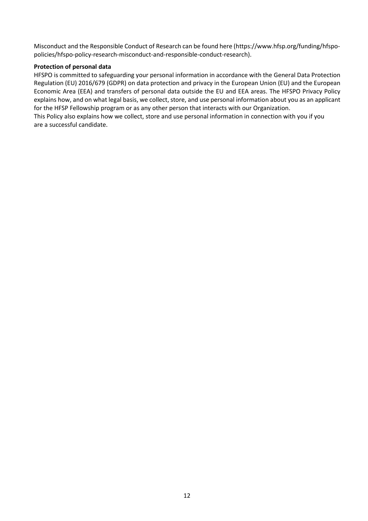Misconduct and the Responsible Conduct of Research can be found here (https://www.hfsp.org/funding/hfspopolicies/hfspo-policy-research-misconduct-and-responsible-conduct-research).

## <span id="page-11-0"></span>**Protection of personal data**

HFSPO is committed to safeguarding your personal information in accordance with the General Data Protection Regulation (EU) 2016/679 (GDPR) on data protection and privacy in the European Union (EU) and the European Economic Area (EEA) and transfers of personal data outside the EU and EEA areas. The [HFSPO Privacy Policy](http://www.hfsp.org/funding/hfspo-policies/hfspo-privacy-policy) explains how, and on what legal basis, we collect, store, and use personal information about you as an applicant for the HFSP Fellowship program or as any other person that interacts with our Organization.

This Policy also explains how we collect, store and use personal information in connection with you if you are a successful candidate.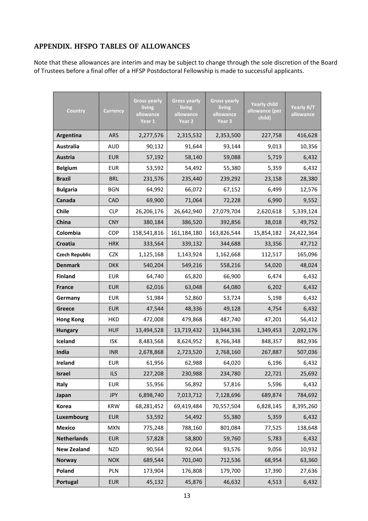## <span id="page-12-0"></span>APPENDIX. HFSPO TABLES OF ALLOWANCES

Note that these allowances are interim and may be subject to change through the sole discretion of the Board of Trustees before a final offer of a HFSP Postdoctoral Fellowship is made to successful applicants.

| Country               | <b>Currency</b> | <b>Gross yearly</b><br>living<br>allowance<br>Year 1 | <b>Gross yearly</b><br>living<br>allowance<br>Year 2 | <b>Gross yearly</b><br>living<br>allowance<br>Year <sub>3</sub> | <b>Yearly child</b><br>allowance (per<br>child) | Yearly R/T<br>allowance |
|-----------------------|-----------------|------------------------------------------------------|------------------------------------------------------|-----------------------------------------------------------------|-------------------------------------------------|-------------------------|
| Argentina             | <b>ARS</b>      | 2,277,576                                            | 2,315,532                                            | 2,353,500                                                       | 227,758                                         | 416,628                 |
| Australia             | <b>AUD</b>      | 90,132                                               | 91,644                                               | 93,144                                                          | 9,013                                           | 10,356                  |
| <b>Austria</b>        | <b>EUR</b>      | 57,192                                               | 58,140                                               | 59,088                                                          | 5,719                                           | 6,432                   |
| <b>Belgium</b>        | <b>EUR</b>      | 53,592                                               | 54,492                                               | 55,380                                                          | 5,359                                           | 6,432                   |
| <b>Brazil</b>         | <b>BRL</b>      | 231,576                                              | 235,440                                              | 239,292                                                         | 23,158                                          | 28,380                  |
| <b>Bulgaria</b>       | <b>BGN</b>      | 64,992                                               | 66,072                                               | 67,152                                                          | 6,499                                           | 12,576                  |
| Canada                | <b>CAD</b>      | 69,900                                               | 71,064                                               | 72,228                                                          | 6,990                                           | 9,552                   |
| <b>Chile</b>          | <b>CLP</b>      | 26,206,176                                           | 26,642,940                                           | 27,079,704                                                      | 2,620,618                                       | 5,339,124               |
| China                 | <b>CNY</b>      | 380,184                                              | 386,520                                              | 392,856                                                         |                                                 | 49,752                  |
| Colombia              | <b>COP</b>      | 158,541,816                                          | 161,184,180                                          | 163,826,544                                                     |                                                 | 24,422,364              |
| Croatia               | <b>HRK</b>      | 333,564                                              | 339,132                                              | 344,688                                                         |                                                 | 47,712                  |
| <b>Czech Republic</b> | CZK.            | 1,125,168                                            | 1,143,924                                            | 1,162,668                                                       |                                                 | 165,096                 |
| <b>Denmark</b>        | <b>DKK</b>      | 540,204                                              | 549,216                                              | 558,216                                                         | 54,020                                          | 48,024                  |
| <b>Finland</b>        | <b>EUR</b>      | 64,740                                               | 66,900<br>65,820                                     |                                                                 | 6,474                                           | 6,432                   |
| <b>France</b>         | <b>EUR</b>      | 62,016                                               | 64,080<br>63,048                                     |                                                                 | 6,202                                           | 6,432                   |
| Germany               | <b>EUR</b>      | 51,984                                               | 52,860<br>53,724                                     |                                                                 | 5,198                                           | 6,432                   |
| Greece                | <b>EUR</b>      | 47,544                                               | 48,336<br>49,128                                     |                                                                 | 4,754                                           | 6,432                   |
| <b>Hong Kong</b>      | <b>HKD</b>      | 472,008                                              | 487,740<br>479,868                                   |                                                                 | 47,201                                          | 56,412                  |
| <b>Hungary</b>        | <b>HUF</b>      | 13,494,528                                           | 13,719,432<br>13,944,336                             |                                                                 | 1,349,453                                       | 2,092,176               |
| Iceland               | <b>ISK</b>      | 8,483,568                                            | 8,624,952                                            | 8,766,348                                                       |                                                 | 882,936                 |
| India                 | <b>INR</b>      | 2,678,868                                            | 2,723,520                                            | 2,768,160<br>267,887                                            |                                                 | 507,036                 |
| Ireland               | <b>EUR</b>      | 61,956                                               | 62,988                                               | 64,020<br>6,196                                                 |                                                 | 6,432                   |
| Israel                | <b>ILS</b>      | 227,208                                              | 230,988                                              | 234,780<br>22,721                                               |                                                 | 25,692                  |
| Italy                 | <b>EUR</b>      | 55,956                                               | 56,892                                               | 57,816<br>5,596                                                 |                                                 | 6,432                   |
| Japan                 | <b>JPY</b>      | 6,898,740                                            | 7,013,712                                            | 7,128,696                                                       |                                                 | 784,692                 |
| Korea                 | <b>KRW</b>      | 68,281,452                                           | 69,419,484                                           | 70,557,504<br>6,828,145                                         |                                                 | 8,395,260               |
| Luxembourg            | <b>EUR</b>      | 53,592                                               | 54,492                                               | 55,380                                                          | 5,359                                           | 6,432                   |
| <b>Mexico</b>         | <b>MXN</b>      | 775,248                                              | 788,160                                              | 801,084                                                         | 77,525                                          | 138,648                 |
| <b>Netherlands</b>    | <b>EUR</b>      | 57,828                                               | 58,800<br>59,760                                     |                                                                 | 5,783                                           | 6,432                   |
| <b>New Zealand</b>    | <b>NZD</b>      | 90,564                                               | 92,064<br>93,576                                     |                                                                 | 9,056                                           | 10,932                  |
| <b>Norway</b>         | <b>NOK</b>      | 689,544                                              | 701,040                                              | 712,536                                                         | 68,954                                          | 63,360                  |
| Poland                | PLN             | 173,904                                              | 176,808                                              | 179,700                                                         | 17,390                                          | 27,636                  |
| Portugal              | <b>EUR</b>      | 45,132                                               | 45,876                                               | 46,632                                                          | 4,513                                           | 6,432                   |